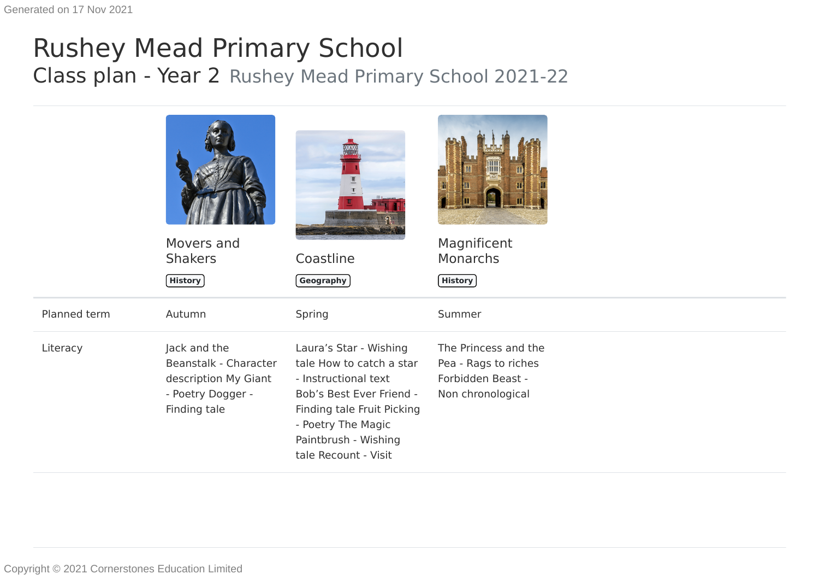## Rushey Mead Primary School Class plan - Year 2 Rushey Mead Primary School 2021-22

|              | Movers and<br><b>Shakers</b>                                                                       | Coastline                                                                                                                                                  | Magnificent<br><b>Monarchs</b>                                                         |
|--------------|----------------------------------------------------------------------------------------------------|------------------------------------------------------------------------------------------------------------------------------------------------------------|----------------------------------------------------------------------------------------|
|              | $($ History $)$                                                                                    | Geography                                                                                                                                                  | <b>History</b>                                                                         |
| Planned term | Autumn                                                                                             | Spring                                                                                                                                                     | Summer                                                                                 |
| Literacy     | Jack and the<br>Beanstalk - Character<br>description My Giant<br>- Poetry Dogger -<br>Finding tale | Laura's Star - Wishing<br>tale How to catch a star<br>- Instructional text<br>Bob's Best Ever Friend -<br>Finding tale Fruit Picking<br>- Poetry The Magic | The Princess and the<br>Pea - Rags to riches<br>Forbidden Beast -<br>Non chronological |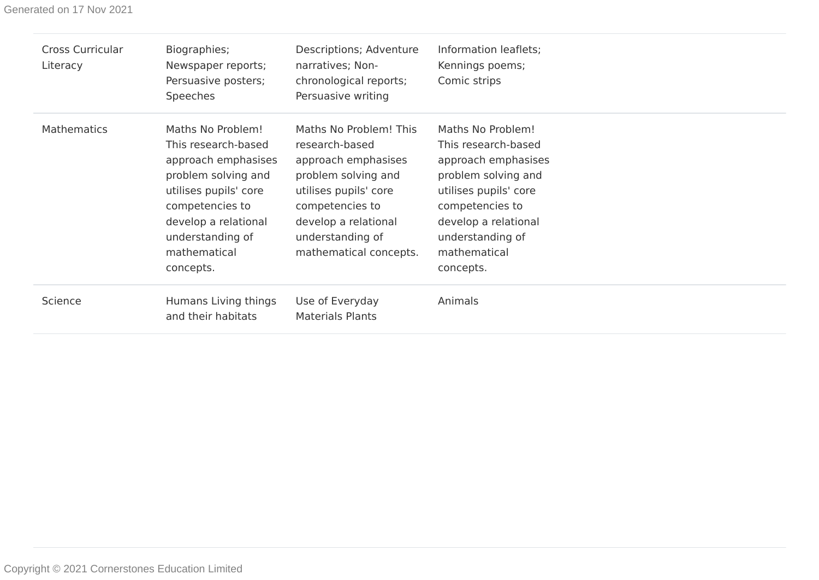Generated on 17 Nov 2021

| <b>Cross Curricular</b><br>Literacy | Biographies;<br>Newspaper reports;<br>Persuasive posters;<br>Speeches                                                                                                                                       | Descriptions; Adventure<br>narratives; Non-<br>chronological reports;<br>Persuasive writing                                                                                                              | Information leaflets;<br>Kennings poems;<br>Comic strips                                                                                                                                                    |
|-------------------------------------|-------------------------------------------------------------------------------------------------------------------------------------------------------------------------------------------------------------|----------------------------------------------------------------------------------------------------------------------------------------------------------------------------------------------------------|-------------------------------------------------------------------------------------------------------------------------------------------------------------------------------------------------------------|
| <b>Mathematics</b>                  | Maths No Problem!<br>This research-based<br>approach emphasises<br>problem solving and<br>utilises pupils' core<br>competencies to<br>develop a relational<br>understanding of<br>mathematical<br>concepts. | Maths No Problem! This<br>research-based<br>approach emphasises<br>problem solving and<br>utilises pupils' core<br>competencies to<br>develop a relational<br>understanding of<br>mathematical concepts. | Maths No Problem!<br>This research-based<br>approach emphasises<br>problem solving and<br>utilises pupils' core<br>competencies to<br>develop a relational<br>understanding of<br>mathematical<br>concepts. |
| Science                             | Humans Living things<br>and their habitats                                                                                                                                                                  | Use of Everyday<br><b>Materials Plants</b>                                                                                                                                                               | Animals                                                                                                                                                                                                     |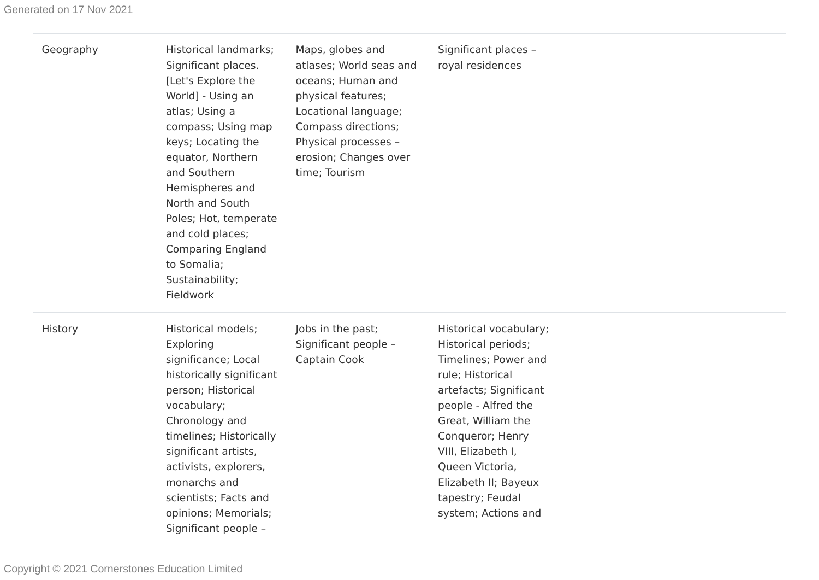| Geography | Historical landmarks;<br>Significant places.<br>[Let's Explore the<br>World] - Using an<br>atlas; Using a<br>compass; Using map<br>keys; Locating the<br>equator, Northern<br>and Southern<br>Hemispheres and<br>North and South<br>Poles; Hot, temperate<br>and cold places;<br><b>Comparing England</b><br>to Somalia;<br>Sustainability;<br>Fieldwork | Maps, globes and<br>atlases; World seas and<br>oceans; Human and<br>physical features;<br>Locational language;<br>Compass directions;<br>Physical processes -<br>erosion; Changes over<br>time; Tourism | Significant places -<br>royal residences                                                                                                                                                                                                                                                         |
|-----------|----------------------------------------------------------------------------------------------------------------------------------------------------------------------------------------------------------------------------------------------------------------------------------------------------------------------------------------------------------|---------------------------------------------------------------------------------------------------------------------------------------------------------------------------------------------------------|--------------------------------------------------------------------------------------------------------------------------------------------------------------------------------------------------------------------------------------------------------------------------------------------------|
| History   | <b>Historical models;</b><br>Exploring<br>significance; Local<br>historically significant<br>person; Historical<br>vocabulary;<br>Chronology and<br>timelines; Historically<br>significant artists,<br>activists, explorers,<br>monarchs and<br>scientists; Facts and<br>opinions; Memorials;<br>Significant people -                                    | Jobs in the past;<br>Significant people -<br>Captain Cook                                                                                                                                               | Historical vocabulary;<br>Historical periods;<br>Timelines; Power and<br>rule; Historical<br>artefacts; Significant<br>people - Alfred the<br>Great, William the<br>Conqueror; Henry<br>VIII, Elizabeth I,<br>Queen Victoria,<br>Elizabeth II; Bayeux<br>tapestry; Feudal<br>system; Actions and |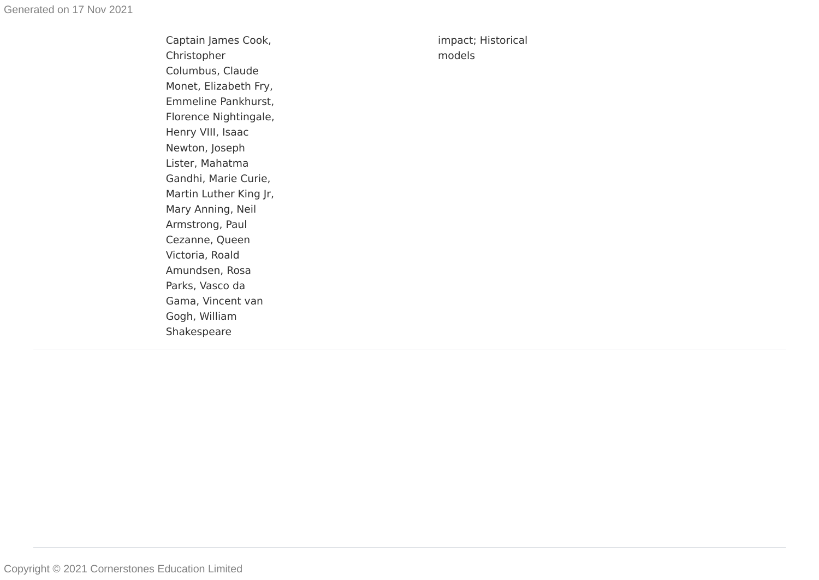Captain James Cook, Christopher Columbus, Claude Monet, Elizabeth Fry, Emmeline Pankhurst, Florence Nightingale, Henry VIII, Isaac Newton, Joseph Lister, Mahatma Gandhi, Marie Curie, Martin Luther King Jr, Mary Anning, Neil Armstrong, Paul Cezanne, Queen Victoria, Roald Amundsen, Rosa Parks, Vasco da Gama, Vincent van Gogh, William Shakespear e

impact; Historical models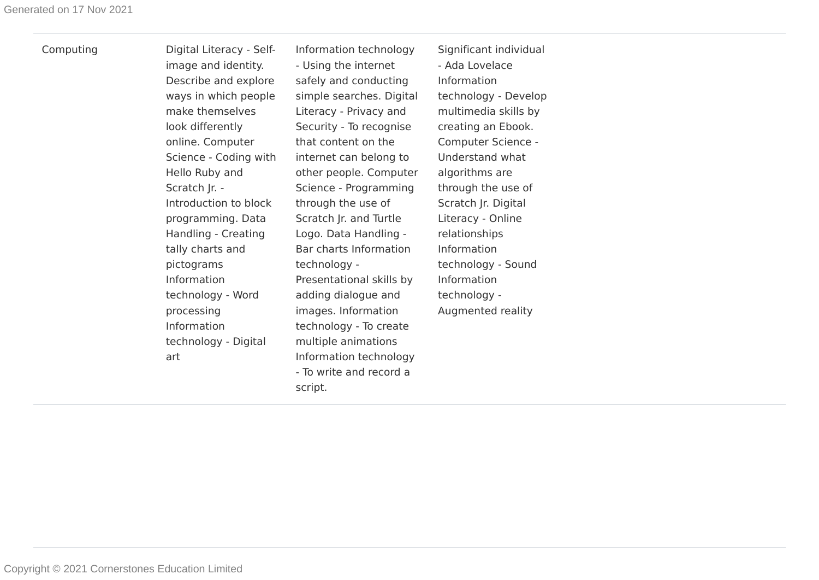Computing Digital Literacy - Selfimage and identity. Describe and explore ways in which people make themselves look differently online. Computer Science - Coding with Hello Ruby and Scratch Jr. - Introduction to block programming. Data Handling - Creating tally charts and pictograms Information technology - Word processing Information technology - Digital art

Information technology - Using the internet safely and conducting simple searches. Digital Literacy - Privacy and Security - To recognise that content on the internet can belong to other people. Computer Science - Programming through the use of Scratch Jr. and Turtle Logo. Data Handling - Bar charts Information technology - Presentational skills by adding dialogue and images. Information technology - To create multiple animations Information technology - To write and record a script.

Significant individual - Ada Lovelace Information technology - Develop multimedia skills by creating an Ebook. Computer Science - Understand what algorithms are through the use of Scratch Jr. Digital Literacy - Online relationships Information technology - Sound Information technology - Augmented reality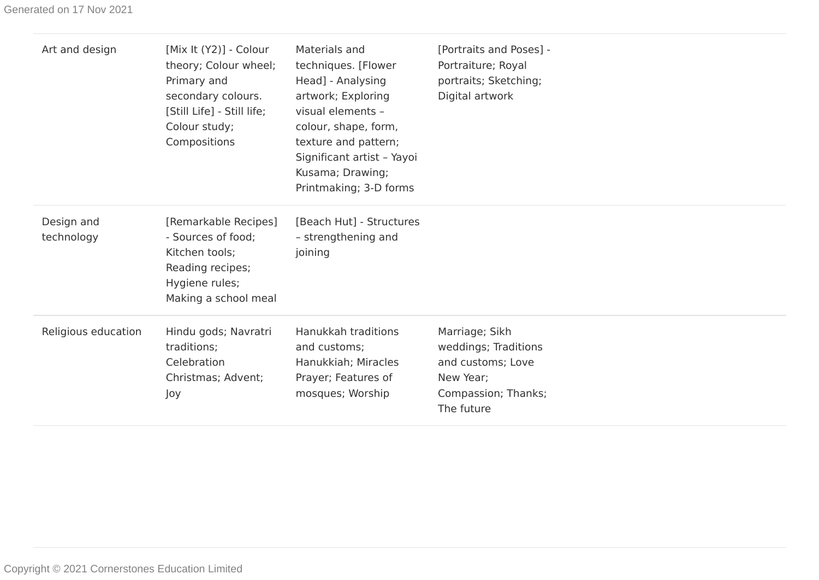| Art and design           | [Mix It (Y2)] - Colour<br>theory; Colour wheel;<br>Primary and<br>secondary colours.<br>[Still Life] - Still life;<br>Colour study;<br>Compositions | Materials and<br>techniques. [Flower<br>Head] - Analysing<br>artwork; Exploring<br>visual elements -<br>colour, shape, form,<br>texture and pattern;<br>Significant artist - Yayoi<br>Kusama; Drawing;<br>Printmaking; 3-D forms | [Portraits and Poses] -<br>Portraiture; Royal<br>portraits; Sketching;<br>Digital artwork                     |  |
|--------------------------|-----------------------------------------------------------------------------------------------------------------------------------------------------|----------------------------------------------------------------------------------------------------------------------------------------------------------------------------------------------------------------------------------|---------------------------------------------------------------------------------------------------------------|--|
| Design and<br>technology | [Remarkable Recipes]<br>- Sources of food;<br>Kitchen tools;<br>Reading recipes;<br>Hygiene rules;<br>Making a school meal                          | [Beach Hut] - Structures<br>- strengthening and<br>joining                                                                                                                                                                       |                                                                                                               |  |
| Religious education      | Hindu gods; Navratri<br>traditions;<br>Celebration<br>Christmas; Advent;<br>Joy                                                                     | Hanukkah traditions<br>and customs;<br>Hanukkiah; Miracles<br>Prayer; Features of<br>mosques; Worship                                                                                                                            | Marriage; Sikh<br>weddings; Traditions<br>and customs; Love<br>New Year;<br>Compassion; Thanks;<br>The future |  |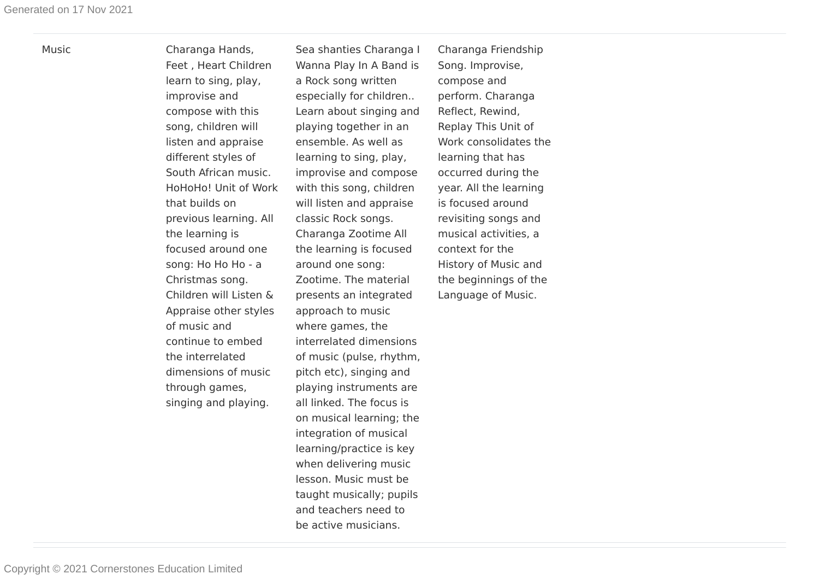Music Charanga Hands, Feet , Heart Children learn to sing, play, improvise and compose with this song, children will listen and appraise different styles of South African music. HoHoHo! Unit of Work that builds on previous learning. All the learning is focused around one song: Ho Ho Ho - a Christmas song. Children will Listen & Appraise other styles of music and continue to embed the interrelated dimensions of music through games, singing and playing.

Sea shanties Charanga I Wanna Play In A Band is a Rock song written especially for children.. Learn about singing and playing together in an ensemble. As well as learning to sing, play, improvise and compose with this song, children will listen and appraise classic Rock songs. Charanga Zootime All the learning is focused around one song: Zootime. The material presents an integrated approach to music where games, the interrelated dimensions of music (pulse, rhythm, pitch etc), singing and playing instruments are all linked. The focus is on musical learning; the integration of musical learning/practice is key when delivering music lesson. Music must be taught musically; pupils and teachers need to be active musicians.

Charanga Friendship Song. Improvise, compose and perform. Charanga Reflect, Rewind, Replay This Unit of Work consolidates the learning that has occurred during the year. All the learning is focused around revisiting songs and musical activities, a context for the History of Music and the beginnings of the Language of Music.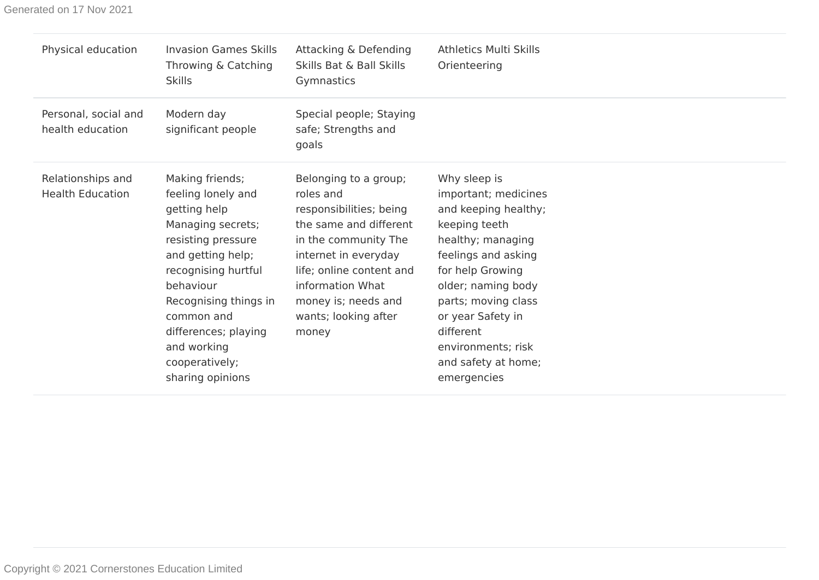Generated on 17 Nov 2021

| Physical education                           | <b>Invasion Games Skills</b><br>Throwing & Catching<br><b>Skills</b>                                                                                                                                                                                                          | Attacking & Defending<br>Skills Bat & Ball Skills<br>Gymnastics                                                                                                                                                                                 | <b>Athletics Multi Skills</b><br>Orienteering                                                                                                                                                                                                                                            |
|----------------------------------------------|-------------------------------------------------------------------------------------------------------------------------------------------------------------------------------------------------------------------------------------------------------------------------------|-------------------------------------------------------------------------------------------------------------------------------------------------------------------------------------------------------------------------------------------------|------------------------------------------------------------------------------------------------------------------------------------------------------------------------------------------------------------------------------------------------------------------------------------------|
| Personal, social and<br>health education     | Modern day<br>significant people                                                                                                                                                                                                                                              | Special people; Staying<br>safe; Strengths and<br>goals                                                                                                                                                                                         |                                                                                                                                                                                                                                                                                          |
| Relationships and<br><b>Health Education</b> | Making friends;<br>feeling lonely and<br>getting help<br>Managing secrets;<br>resisting pressure<br>and getting help;<br>recognising hurtful<br>behaviour<br>Recognising things in<br>common and<br>differences; playing<br>and working<br>cooperatively;<br>sharing opinions | Belonging to a group;<br>roles and<br>responsibilities; being<br>the same and different<br>in the community The<br>internet in everyday<br>life; online content and<br>information What<br>money is; needs and<br>wants; looking after<br>money | Why sleep is<br>important; medicines<br>and keeping healthy;<br>keeping teeth<br>healthy; managing<br>feelings and asking<br>for help Growing<br>older; naming body<br>parts; moving class<br>or year Safety in<br>different<br>environments; risk<br>and safety at home;<br>emergencies |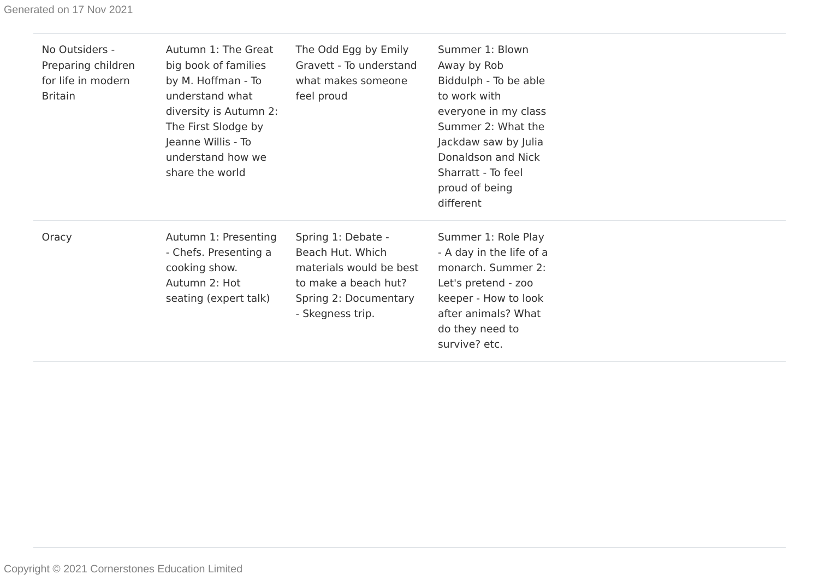| No Outsiders -<br>Preparing children<br>for life in modern<br><b>Britain</b> | Autumn 1: The Great<br>big book of families<br>by M. Hoffman - To<br>understand what<br>diversity is Autumn 2:<br>The First Slodge by<br>Jeanne Willis - To<br>understand how we<br>share the world | The Odd Egg by Emily<br>Gravett - To understand<br>what makes someone<br>feel proud                                                    | Summer 1: Blown<br>Away by Rob<br>Biddulph - To be able<br>to work with<br>everyone in my class<br>Summer 2: What the<br>Jackdaw saw by Julia<br>Donaldson and Nick<br>Sharratt - To feel<br>proud of being<br>different |
|------------------------------------------------------------------------------|-----------------------------------------------------------------------------------------------------------------------------------------------------------------------------------------------------|----------------------------------------------------------------------------------------------------------------------------------------|--------------------------------------------------------------------------------------------------------------------------------------------------------------------------------------------------------------------------|
| Oracy                                                                        | Autumn 1: Presenting<br>- Chefs. Presenting a<br>cooking show.<br>Autumn 2: Hot<br>seating (expert talk)                                                                                            | Spring 1: Debate -<br>Beach Hut. Which<br>materials would be best<br>to make a beach hut?<br>Spring 2: Documentary<br>- Skegness trip. | Summer 1: Role Play<br>- A day in the life of a<br>monarch. Summer 2:<br>Let's pretend - zoo<br>keeper - How to look<br>after animals? What<br>do they need to<br>survive? etc.                                          |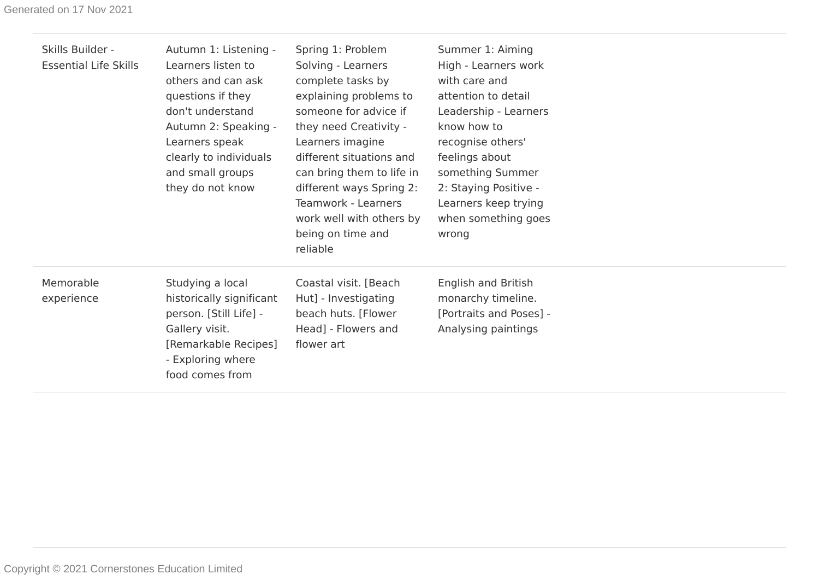| Skills Builder -<br><b>Essential Life Skills</b> | Autumn 1: Listening -<br>Learners listen to<br>others and can ask<br>questions if they<br>don't understand<br>Autumn 2: Speaking -<br>Learners speak<br>clearly to individuals<br>and small groups<br>they do not know | Spring 1: Problem<br>Solving - Learners<br>complete tasks by<br>explaining problems to<br>someone for advice if<br>they need Creativity -<br>Learners imagine<br>different situations and<br>can bring them to life in<br>different ways Spring 2:<br>Teamwork - Learners<br>work well with others by<br>being on time and<br>reliable | Summer 1: Aiming<br>High - Learners work<br>with care and<br>attention to detail<br>Leadership - Learners<br>know how to<br>recognise others'<br>feelings about<br>something Summer<br>2: Staying Positive -<br>Learners keep trying<br>when something goes<br>wrong |
|--------------------------------------------------|------------------------------------------------------------------------------------------------------------------------------------------------------------------------------------------------------------------------|----------------------------------------------------------------------------------------------------------------------------------------------------------------------------------------------------------------------------------------------------------------------------------------------------------------------------------------|----------------------------------------------------------------------------------------------------------------------------------------------------------------------------------------------------------------------------------------------------------------------|
| Memorable<br>experience                          | Studying a local<br>historically significant<br>person. [Still Life] -<br>Gallery visit.<br>[Remarkable Recipes]<br>- Exploring where<br>food comes from                                                               | Coastal visit. [Beach<br>Hut] - Investigating<br>beach huts. [Flower<br>Head] - Flowers and<br>flower art                                                                                                                                                                                                                              | <b>English and British</b><br>monarchy timeline.<br>[Portraits and Poses] -<br>Analysing paintings                                                                                                                                                                   |